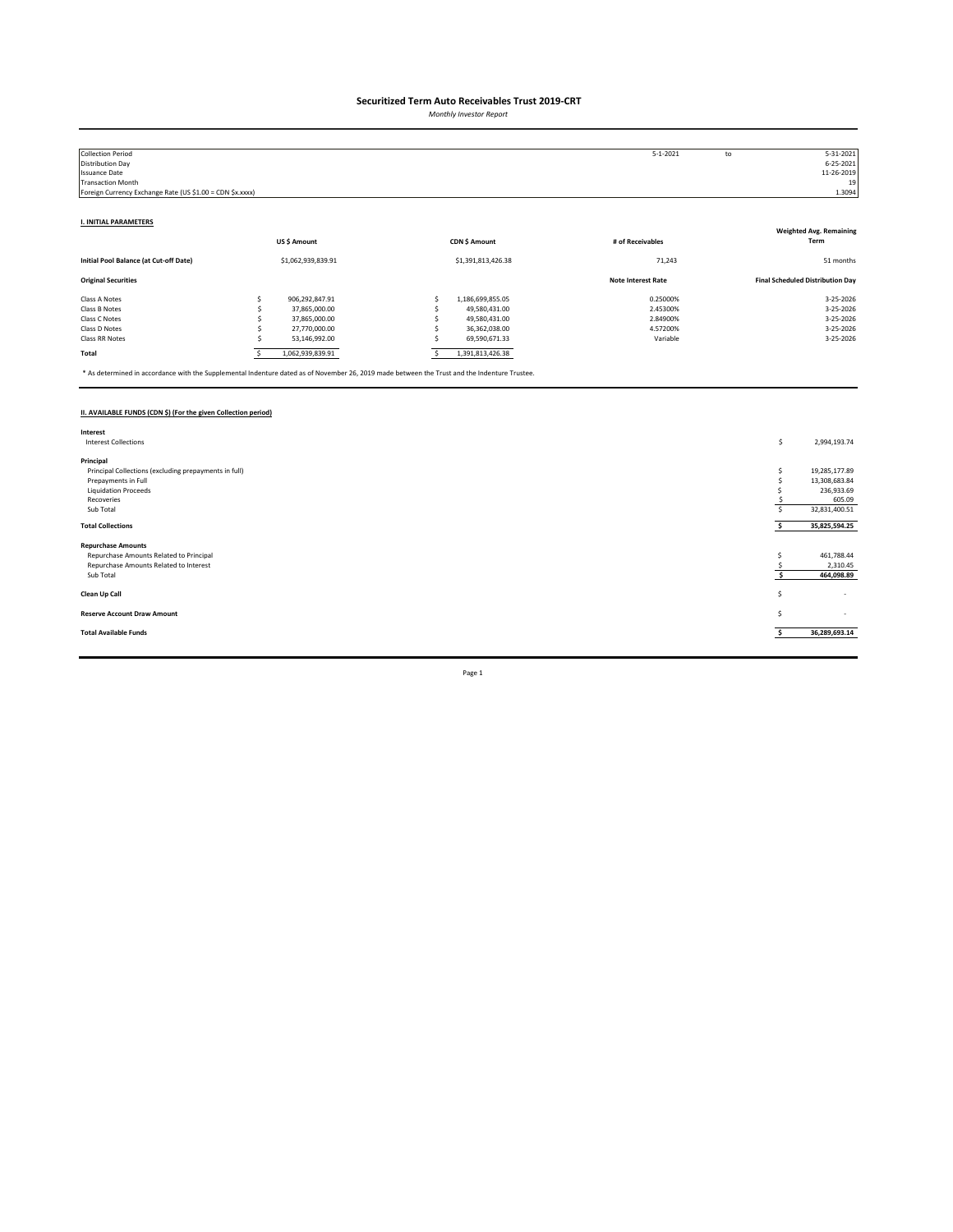*Monthly Investor Report*

| <b>Collection Period</b>                                  |   |                    |                    | $5 - 1 - 2021$            | to | 5-31-2021                               |
|-----------------------------------------------------------|---|--------------------|--------------------|---------------------------|----|-----------------------------------------|
| Distribution Day                                          |   |                    |                    |                           |    | $6 - 25 - 2021$                         |
| <b>Issuance Date</b>                                      |   |                    |                    |                           |    | 11-26-2019                              |
| <b>Transaction Month</b>                                  |   |                    |                    |                           |    | 19                                      |
| Foreign Currency Exchange Rate (US \$1.00 = CDN \$x.xxxx) |   |                    |                    |                           |    | 1.3094                                  |
|                                                           |   |                    |                    |                           |    |                                         |
| <b>I. INITIAL PARAMETERS</b>                              |   |                    |                    |                           |    |                                         |
|                                                           |   |                    |                    |                           |    | <b>Weighted Avg. Remaining</b>          |
|                                                           |   | US\$ Amount        | CDN \$ Amount      | # of Receivables          |    | Term                                    |
| Initial Pool Balance (at Cut-off Date)                    |   | \$1,062,939,839.91 | \$1,391,813,426.38 | 71,243                    |    | 51 months                               |
| <b>Original Securities</b>                                |   |                    |                    | <b>Note Interest Rate</b> |    | <b>Final Scheduled Distribution Day</b> |
| Class A Notes                                             |   | 906,292,847.91     | 1,186,699,855.05   | 0.25000%                  |    | 3-25-2026                               |
| Class B Notes                                             |   | 37,865,000.00      | 49,580,431.00      | 2.45300%                  |    | 3-25-2026                               |
| Class C Notes                                             |   | 37,865,000.00      | 49,580,431.00      | 2.84900%                  |    | 3-25-2026                               |
| Class D Notes                                             |   | 27,770,000.00      | 36,362,038.00      | 4.57200%                  |    | 3-25-2026                               |
| Class RR Notes                                            |   | 53,146,992.00      | 69,590,671.33      | Variable                  |    | 3-25-2026                               |
| Total                                                     | s | 1,062,939,839.91   | 1,391,813,426.38   |                           |    |                                         |

\* As determined in accordance with the Supplemental Indenture dated as of November 26, 2019 made between the Trust and the Indenture Trustee.

### **II. AVAILABLE FUNDS (CDN \$) (For the given Collection period)**

| Interest                                              |    |               |
|-------------------------------------------------------|----|---------------|
| <b>Interest Collections</b>                           | \$ | 2,994,193.74  |
|                                                       |    |               |
| Principal                                             |    |               |
| Principal Collections (excluding prepayments in full) |    | 19,285,177.89 |
| Prepayments in Full                                   |    | 13,308,683.84 |
| <b>Liquidation Proceeds</b>                           |    | 236,933.69    |
| Recoveries                                            |    | 605.09        |
| Sub Total                                             |    | 32,831,400.51 |
|                                                       |    |               |
| <b>Total Collections</b>                              |    | 35,825,594.25 |
|                                                       |    |               |
| <b>Repurchase Amounts</b>                             |    |               |
| Repurchase Amounts Related to Principal               |    | 461,788.44    |
| Repurchase Amounts Related to Interest                |    | 2,310.45      |
| Sub Total                                             |    | 464,098.89    |
|                                                       |    |               |
| Clean Up Call                                         | s  | $\sim$        |
|                                                       |    |               |
| <b>Reserve Account Draw Amount</b>                    | s  | $\sim$        |
|                                                       |    |               |
| <b>Total Available Funds</b>                          |    | 36,289,693.14 |
|                                                       |    |               |
|                                                       |    |               |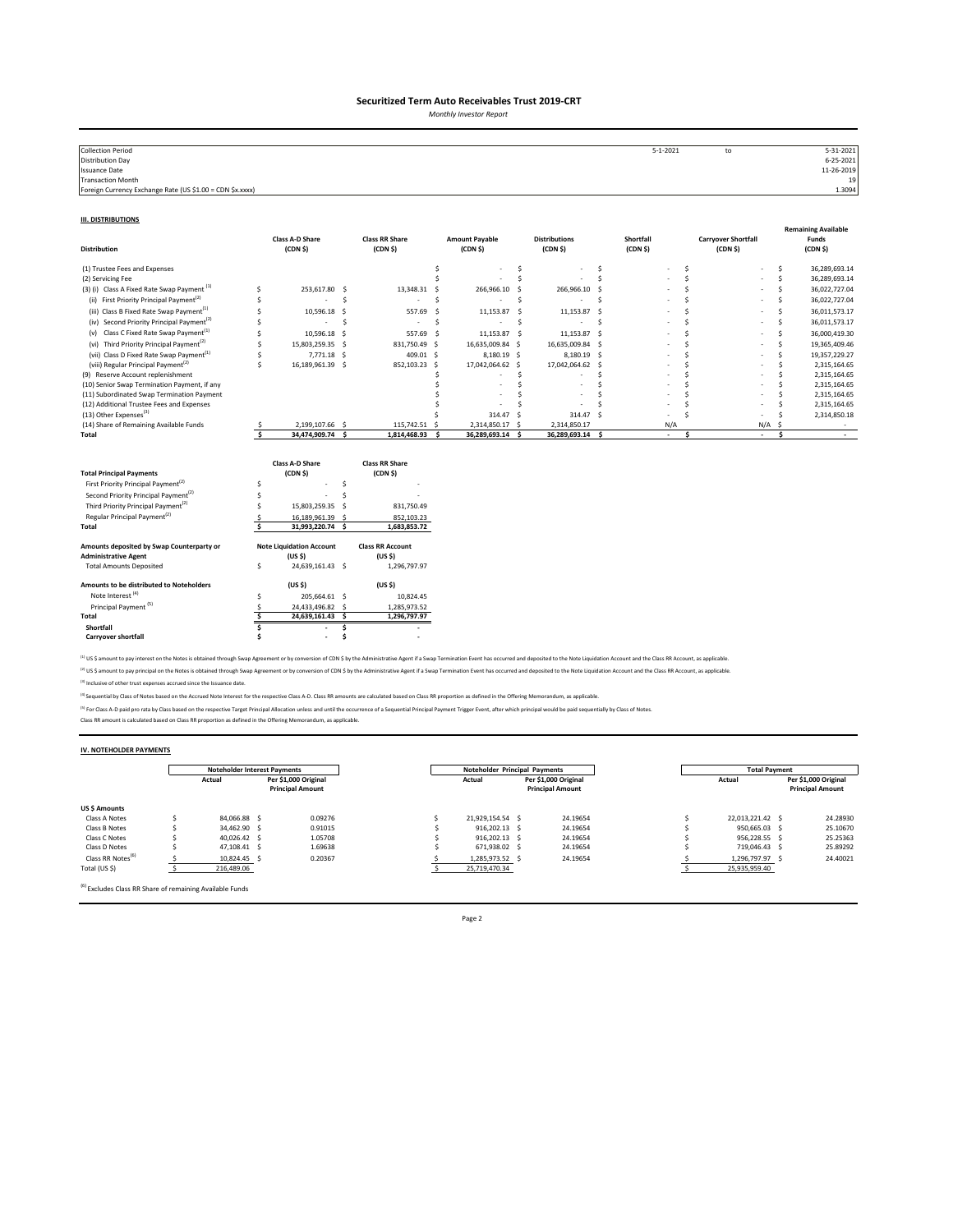*Monthly Investor Report*

| <b>Collection Period</b>                                  | $5 - 1 - 2021$ | to | 5-31-2021       |
|-----------------------------------------------------------|----------------|----|-----------------|
| <b>Distribution Day</b>                                   |                |    | $6 - 25 - 2021$ |
| Issuance Date                                             |                |    | 11-26-2019      |
| Transaction Month                                         |                |    | 19              |
| Foreign Currency Exchange Rate (US \$1.00 = CDN \$x.xxxx) |                |    | 1.3094          |
|                                                           |                |    |                 |

#### **III. DISTRIBUTIONS**

| <b>Distribution</b>                                                                                                                                                                                                                            |        | <b>Class A-D Share</b><br>(CDN <sub>5</sub> )                                                          |                | <b>Class RR Share</b><br>(CDN <sub>5</sub> )                                                                        |     | <b>Amount Payable</b><br>(CDN <sub>5</sub> ) |     | <b>Distributions</b><br>(CDN S) |          | Shortfall<br>(CDN <sub>5</sub> ) |              | <b>Carryover Shortfall</b><br>(CDN <sub>5</sub> ) |     |     | <b>Remaining Available</b><br>Funds<br>(CDN <sub>5</sub> ) |
|------------------------------------------------------------------------------------------------------------------------------------------------------------------------------------------------------------------------------------------------|--------|--------------------------------------------------------------------------------------------------------|----------------|---------------------------------------------------------------------------------------------------------------------|-----|----------------------------------------------|-----|---------------------------------|----------|----------------------------------|--------------|---------------------------------------------------|-----|-----|------------------------------------------------------------|
| (1) Trustee Fees and Expenses                                                                                                                                                                                                                  |        |                                                                                                        |                |                                                                                                                     | Ś   |                                              | S.  |                                 | Ŝ        |                                  | Ŝ            |                                                   |     | s   | 36,289,693.14                                              |
| (2) Servicing Fee                                                                                                                                                                                                                              |        |                                                                                                        |                |                                                                                                                     |     |                                              | Ś   |                                 | Ś        |                                  | <sup>s</sup> |                                                   |     | Ś   | 36,289,693.14                                              |
| (3) (i) Class A Fixed Rate Swap Payment <sup>(1)</sup>                                                                                                                                                                                         | Ś      | 253,617.80                                                                                             | - Ś            | 13,348.31                                                                                                           | - 5 | 266,966.10                                   |     | 266,966.10 \$                   |          |                                  |              |                                                   |     | Š.  | 36,022,727.04                                              |
| First Priority Principal Payment <sup>(2)</sup><br>(ii)                                                                                                                                                                                        | Ś      |                                                                                                        | Ś              |                                                                                                                     | Ś   |                                              | .s  |                                 | <b>S</b> |                                  |              |                                                   |     | Ś   | 36,022,727.04                                              |
| (iii) Class B Fixed Rate Swap Payment <sup>(1)</sup>                                                                                                                                                                                           |        | 10,596.18                                                                                              | .S             | 557.69                                                                                                              | -S  | 11,153.87                                    | -Ś  | 11,153.87 \$                    |          |                                  |              |                                                   |     | Ś   | 36,011,573.17                                              |
| (iv) Second Priority Principal Payment <sup>(2)</sup>                                                                                                                                                                                          |        |                                                                                                        | Ŝ              | ٠                                                                                                                   | -S  |                                              | S.  |                                 | .s       |                                  |              |                                                   |     | Ś   | 36,011,573.17                                              |
| (v) Class C Fixed Rate Swap Payment <sup>(1)</sup>                                                                                                                                                                                             | Ś      | 10,596.18                                                                                              | -Ś             | 557.69 \$                                                                                                           |     | 11,153.87 \$                                 |     | 11,153.87 \$                    |          |                                  | Ś            |                                                   |     | Ś   | 36,000,419.30                                              |
| (vi) Third Priority Principal Payment <sup>(2)</sup>                                                                                                                                                                                           | Ś      | 15,803,259.35 \$                                                                                       |                | 831,750.49 \$                                                                                                       |     | 16,635,009.84 \$                             |     | 16,635,009.84 \$                |          |                                  | Ś            |                                                   |     | Ś   | 19,365,409.46                                              |
| (vii) Class D Fixed Rate Swap Payment <sup>(1)</sup>                                                                                                                                                                                           | Ś      | 7,771.18 \$                                                                                            |                | 409.01 \$                                                                                                           |     | 8,180.19 \$                                  |     | 8,180.19 \$                     |          |                                  |              |                                                   |     | Š.  | 19,357,229.27                                              |
| (viii) Regular Principal Payment <sup>(2)</sup>                                                                                                                                                                                                | Ś      | 16,189,961.39 \$                                                                                       |                | 852,103.23 \$                                                                                                       |     | 17,042,064.62 \$                             |     | 17,042,064.62 \$                |          |                                  |              |                                                   |     | ¢   | 2,315,164.65                                               |
| (9) Reserve Account replenishment                                                                                                                                                                                                              |        |                                                                                                        |                |                                                                                                                     |     |                                              | Ś   |                                 |          |                                  |              |                                                   |     |     | 2,315,164.65                                               |
| (10) Senior Swap Termination Payment, if any<br>(11) Subordinated Swap Termination Payment                                                                                                                                                     |        |                                                                                                        |                |                                                                                                                     |     |                                              | Ś   |                                 |          |                                  |              |                                                   |     |     | 2,315,164.65<br>2,315,164.65                               |
| (12) Additional Trustee Fees and Expenses                                                                                                                                                                                                      |        |                                                                                                        |                |                                                                                                                     |     |                                              |     |                                 |          |                                  |              |                                                   |     |     | 2,315,164.65                                               |
| (13) Other Expenses <sup>(3)</sup>                                                                                                                                                                                                             |        |                                                                                                        |                |                                                                                                                     |     | 314.47 S                                     |     | 314.47 S                        |          |                                  |              |                                                   |     |     | 2,314,850.18                                               |
| (14) Share of Remaining Available Funds                                                                                                                                                                                                        |        | 2,199,107.66 \$                                                                                        |                | 115,742.51 \$                                                                                                       |     | 2,314,850.17 \$                              |     | 2,314,850.17                    |          | N/A                              |              |                                                   | N/A | .S  |                                                            |
| Total                                                                                                                                                                                                                                          | Ŝ.     | 34,474,909.74 \$                                                                                       |                | 1,814,468.93                                                                                                        | s.  | 36,289,693.14                                | - Ś | 36,289,693.14 \$                |          | ×.                               | Ś            | $\sim$                                            |     | \$. | $\sim$                                                     |
| <b>Total Principal Payments</b><br>First Priority Principal Payment <sup>(2)</sup><br>Second Priority Principal Payment <sup>(2)</sup><br>Third Priority Principal Payment <sup>(2)</sup><br>Regular Principal Payment <sup>(2)</sup><br>Total | Ś<br>Ŝ | <b>Class A-D Share</b><br>(CDN <sub>5</sub> )<br>15,803,259.35<br>16,189,961.39 \$<br>31,993,220.74 \$ | Ś<br>\$.<br>-S | <b>Class RR Share</b><br>(CDN <sub>5</sub> )<br>831,750.49<br>852,103.23<br>1,683,853.72<br><b>Class RR Account</b> |     |                                              |     |                                 |          |                                  |              |                                                   |     |     |                                                            |
| Amounts deposited by Swap Counterparty or<br><b>Administrative Agent</b>                                                                                                                                                                       |        | <b>Note Liquidation Account</b><br>(US S)                                                              |                | (US S)                                                                                                              |     |                                              |     |                                 |          |                                  |              |                                                   |     |     |                                                            |
| <b>Total Amounts Deposited</b>                                                                                                                                                                                                                 | \$     | 24,639,161.43 \$                                                                                       |                | 1,296,797.97                                                                                                        |     |                                              |     |                                 |          |                                  |              |                                                   |     |     |                                                            |
| Amounts to be distributed to Noteholders<br>Note Interest <sup>(4)</sup>                                                                                                                                                                       | Ś      | (US S)<br>205,664.61 \$                                                                                |                | (US S)<br>10,824.45                                                                                                 |     |                                              |     |                                 |          |                                  |              |                                                   |     |     |                                                            |
| Principal Payment <sup>(5)</sup>                                                                                                                                                                                                               | S      | 24,433,496.82 \$                                                                                       |                | 1,285,973.52                                                                                                        |     |                                              |     |                                 |          |                                  |              |                                                   |     |     |                                                            |
| Total                                                                                                                                                                                                                                          | Š.     | 24,639,161.43 \$                                                                                       |                | 1,296,797.97                                                                                                        |     |                                              |     |                                 |          |                                  |              |                                                   |     |     |                                                            |
| Shortfall                                                                                                                                                                                                                                      |        |                                                                                                        | Ś              |                                                                                                                     |     |                                              |     |                                 |          |                                  |              |                                                   |     |     |                                                            |
| <b>Carryover shortfall</b>                                                                                                                                                                                                                     |        | $\overline{\phantom{a}}$                                                                               |                |                                                                                                                     |     |                                              |     |                                 |          |                                  |              |                                                   |     |     |                                                            |

<sup>(1)</sup> US \$ amount to pay interest on the Notes is obtained through Swap Agreement or by conversion of CDN \$ by the Administrative Agent if a Swap Termination Event has occurred and deposited to the Note Liquidation Account <sup>(2)</sup> US \$ amount to pay principal on the Notes is obtained through Swap Agreement or by conversion of CDN \$ by the Administrative Agent if a Swap Termination Event has occurred and deposited to the Note Liquidation Accoun

(3) Inclusive of other trust expenses accrued since the Issuance date.

<sup>(4)</sup> Sequential by Class of Notes based on the Accrued Note Interest for the respective Class A-D. Class RR amounts are calculated based on Class RR proportion as defined in the Offering Memorandum, as applicable.

<sup>P)</sup> For Class A-D paid pro rata by Class based on the respective Target Principal Allocation unless and until the occurrence of a Sequential Principal Payment Trigger Event, after which principal would be paid sequentiall

#### **IV. NOTEHOLDER PAYMENTS**

|                               | <b>Noteholder Interest Payments</b> |                                                 |         | Noteholder Principal Payments |  | <b>Total Payment</b>                            |                  |  |                                                 |
|-------------------------------|-------------------------------------|-------------------------------------------------|---------|-------------------------------|--|-------------------------------------------------|------------------|--|-------------------------------------------------|
|                               | Actual                              | Per \$1,000 Original<br><b>Principal Amount</b> |         | Actual                        |  | Per \$1,000 Original<br><b>Principal Amount</b> | Actual           |  | Per \$1,000 Original<br><b>Principal Amount</b> |
| <b>US \$ Amounts</b>          |                                     |                                                 |         |                               |  |                                                 |                  |  |                                                 |
| Class A Notes                 | 84.066.88 \$                        |                                                 | 0.09276 | 21.929.154.54 \$              |  | 24.19654                                        | 22.013.221.42 \$ |  | 24.28930                                        |
| Class B Notes                 | 34.462.90 \$                        |                                                 | 0.91015 | 916.202.13 \$                 |  | 24.19654                                        | 950.665.03 \$    |  | 25.10670                                        |
| Class C Notes                 | 40.026.42 \$                        |                                                 | 1.05708 | 916.202.13 \$                 |  | 24.19654                                        | 956.228.55 \$    |  | 25.25363                                        |
| Class D Notes                 | 47.108.41 \$                        |                                                 | 1.69638 | 671.938.02 \$                 |  | 24.19654                                        | 719.046.43 S     |  | 25.89292                                        |
| Class RR Notes <sup>(6)</sup> | 10.824.45 \$                        |                                                 | 0.20367 | 1,285,973.52 \$               |  | 24.19654                                        | 1,296,797.97 \$  |  | 24.40021                                        |
| Total (US \$)                 | 216,489.06                          |                                                 |         | 25,719,470.34                 |  |                                                 | 25,935,959.40    |  |                                                 |

(6) Excludes Class RR Share of remaining Available Funds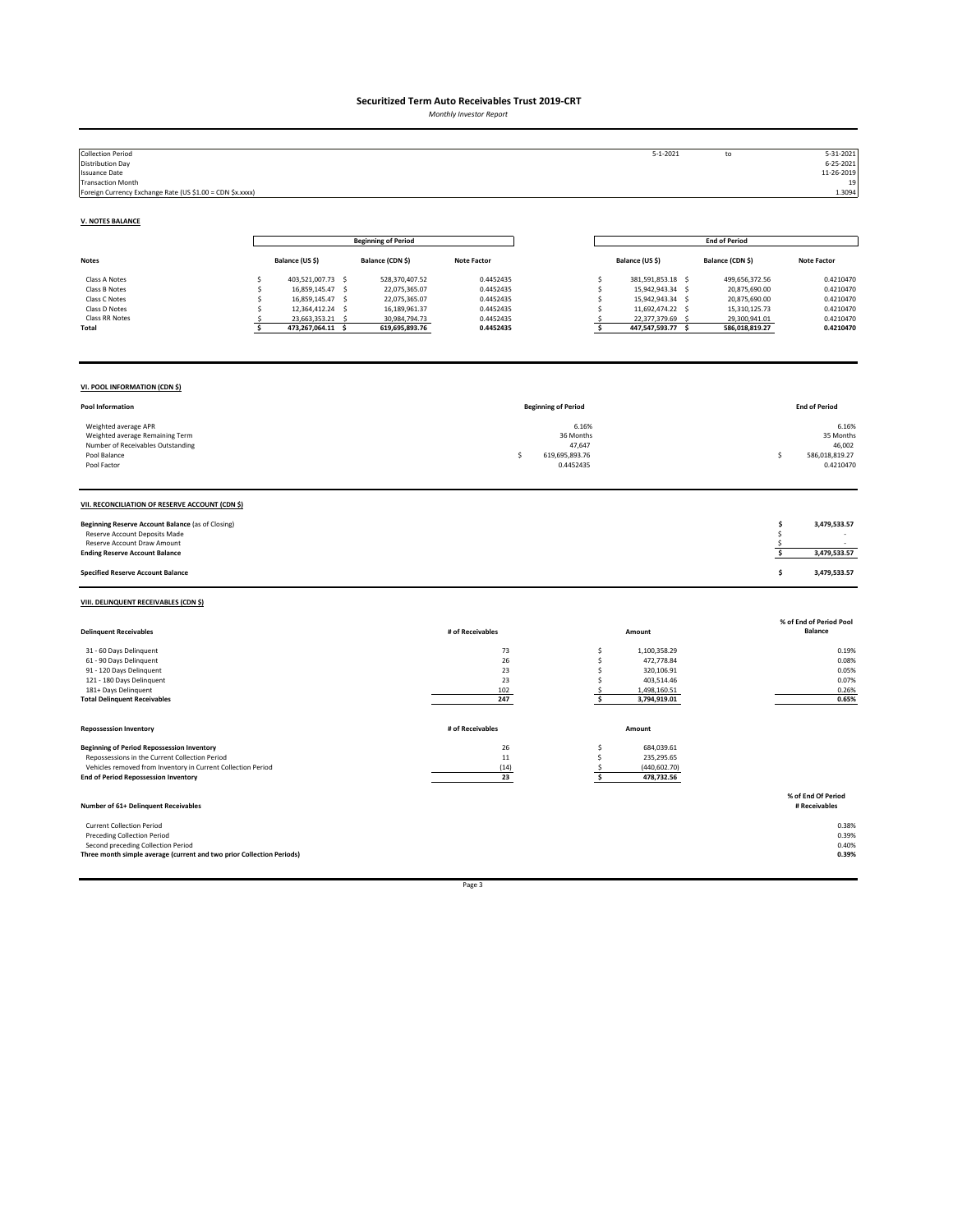*Monthly Investor Report*

| <b>Collection Period</b><br><b>Distribution Day</b><br><b>Issuance Date</b><br><b>Transaction Month</b><br>Foreign Currency Exchange Rate (US \$1.00 = CDN \$x.xxxx)                                               |                                                                                                                                                                                 |                                                                                                      |                                                                            |                                                                   | $5 - 1 - 2021$                                                                                                                                              | to                                                                                                   | 5-31-2021<br>$6 - 25 - 2021$<br>11-26-2019<br>19<br>1.3094                 |
|--------------------------------------------------------------------------------------------------------------------------------------------------------------------------------------------------------------------|---------------------------------------------------------------------------------------------------------------------------------------------------------------------------------|------------------------------------------------------------------------------------------------------|----------------------------------------------------------------------------|-------------------------------------------------------------------|-------------------------------------------------------------------------------------------------------------------------------------------------------------|------------------------------------------------------------------------------------------------------|----------------------------------------------------------------------------|
| <b>V. NOTES BALANCE</b>                                                                                                                                                                                            |                                                                                                                                                                                 |                                                                                                      |                                                                            |                                                                   |                                                                                                                                                             |                                                                                                      |                                                                            |
|                                                                                                                                                                                                                    |                                                                                                                                                                                 | <b>Beginning of Period</b>                                                                           |                                                                            |                                                                   |                                                                                                                                                             | <b>End of Period</b>                                                                                 |                                                                            |
| Notes                                                                                                                                                                                                              | Balance (US \$)                                                                                                                                                                 | Balance (CDN \$)                                                                                     | <b>Note Factor</b>                                                         |                                                                   | Balance (US \$)                                                                                                                                             | Balance (CDN \$)                                                                                     | <b>Note Factor</b>                                                         |
| Class A Notes<br>Class B Notes<br>Class C Notes<br>Class D Notes<br>Class RR Notes<br>Total                                                                                                                        | 403,521,007.73 \$<br>\$<br>16,859,145.47<br>$\sim$<br>.s<br>16,859,145.47<br>$\mathsf{S}$<br>Ś<br>12,364,412.24 \$<br>s<br>23,663,353.21<br>-S<br>S.<br>\$<br>473,267,064.11 \$ | 528,370,407.52<br>22,075,365.07<br>22,075,365.07<br>16,189,961.37<br>30,984,794.73<br>619,695,893.76 | 0.4452435<br>0.4452435<br>0.4452435<br>0.4452435<br>0.4452435<br>0.4452435 |                                                                   | \$<br>381,591,853.18 \$<br>15,942,943.34 \$<br>\$<br>\$<br>15,942,943.34 \$<br>\$<br>11,692,474.22 \$<br>22,377,379.69 \$<br>\$.<br>\$<br>447,547,593.77 \$ | 499,656,372.56<br>20,875,690.00<br>20,875,690.00<br>15,310,125.73<br>29,300,941.01<br>586,018,819.27 | 0.4210470<br>0.4210470<br>0.4210470<br>0.4210470<br>0.4210470<br>0.4210470 |
| VI. POOL INFORMATION (CDN \$)                                                                                                                                                                                      |                                                                                                                                                                                 |                                                                                                      |                                                                            |                                                                   |                                                                                                                                                             |                                                                                                      |                                                                            |
| Pool Information                                                                                                                                                                                                   |                                                                                                                                                                                 |                                                                                                      |                                                                            | <b>Beginning of Period</b>                                        |                                                                                                                                                             |                                                                                                      | <b>End of Period</b>                                                       |
| Weighted average APR<br>Weighted average Remaining Term<br>Number of Receivables Outstanding<br>Pool Balance<br>Pool Factor                                                                                        |                                                                                                                                                                                 |                                                                                                      |                                                                            | 6.16%<br>36 Months<br>47,647<br>\$<br>619,695,893.76<br>0.4452435 |                                                                                                                                                             |                                                                                                      | 6.16%<br>35 Months<br>46,002<br>586,018,819.27<br>\$<br>0.4210470          |
| VII. RECONCILIATION OF RESERVE ACCOUNT (CDN \$)                                                                                                                                                                    |                                                                                                                                                                                 |                                                                                                      |                                                                            |                                                                   |                                                                                                                                                             |                                                                                                      |                                                                            |
| Beginning Reserve Account Balance (as of Closing)<br>Reserve Account Deposits Made<br>Reserve Account Draw Amount<br><b>Ending Reserve Account Balance</b>                                                         |                                                                                                                                                                                 |                                                                                                      |                                                                            |                                                                   |                                                                                                                                                             |                                                                                                      | \$<br>3,479,533.57<br>\$<br>\$<br>\$<br>3,479,533.57                       |
| <b>Specified Reserve Account Balance</b>                                                                                                                                                                           |                                                                                                                                                                                 |                                                                                                      |                                                                            |                                                                   |                                                                                                                                                             |                                                                                                      | \$<br>3,479,533.57                                                         |
| VIII. DELINQUENT RECEIVABLES (CDN \$)                                                                                                                                                                              |                                                                                                                                                                                 |                                                                                                      |                                                                            |                                                                   |                                                                                                                                                             |                                                                                                      |                                                                            |
| <b>Delinquent Receivables</b>                                                                                                                                                                                      |                                                                                                                                                                                 |                                                                                                      | # of Receivables                                                           |                                                                   | Amount                                                                                                                                                      |                                                                                                      | % of End of Period Pool<br><b>Balance</b>                                  |
| 31 - 60 Days Delinquent<br>61 - 90 Days Delinquent<br>91 - 120 Days Delinquent<br>121 - 180 Days Delinquent<br>181+ Days Delinquent<br><b>Total Delinquent Receivables</b>                                         |                                                                                                                                                                                 |                                                                                                      | 73<br>26<br>23<br>23<br>102<br>247                                         |                                                                   | 1,100,358.29<br>\$<br>\$<br>472,778.84<br>\$<br>320,106.91<br>\$<br>403,514.46<br>\$<br>1,498,160.51<br>\$<br>3,794,919.01                                  |                                                                                                      | 0.19%<br>0.08%<br>0.05%<br>0.07%<br>0.26%<br>0.65%                         |
| <b>Repossession Inventory</b>                                                                                                                                                                                      |                                                                                                                                                                                 |                                                                                                      | # of Receivables                                                           |                                                                   | Amount                                                                                                                                                      |                                                                                                      |                                                                            |
| <b>Beginning of Period Repossession Inventory</b><br>Repossessions in the Current Collection Period<br>Vehicles removed from Inventory in Current Collection Period<br><b>End of Period Repossession Inventory</b> |                                                                                                                                                                                 |                                                                                                      | 26<br>$11\,$<br>(14)<br>23                                                 |                                                                   | \$<br>684,039.61<br>\$.<br>235,295.65<br>(440, 602.70)<br>\$.<br>\$<br>478,732.56                                                                           |                                                                                                      |                                                                            |
| Number of 61+ Delinquent Receivables                                                                                                                                                                               |                                                                                                                                                                                 |                                                                                                      |                                                                            |                                                                   |                                                                                                                                                             |                                                                                                      | % of End Of Period<br># Receivables                                        |
| <b>Current Collection Period</b><br><b>Preceding Collection Period</b><br>Second preceding Collection Period<br>Three month simple average (current and two prior Collection Periods)                              |                                                                                                                                                                                 |                                                                                                      |                                                                            |                                                                   |                                                                                                                                                             |                                                                                                      | 0.38%<br>0.39%<br>0.40%<br>0.39%                                           |